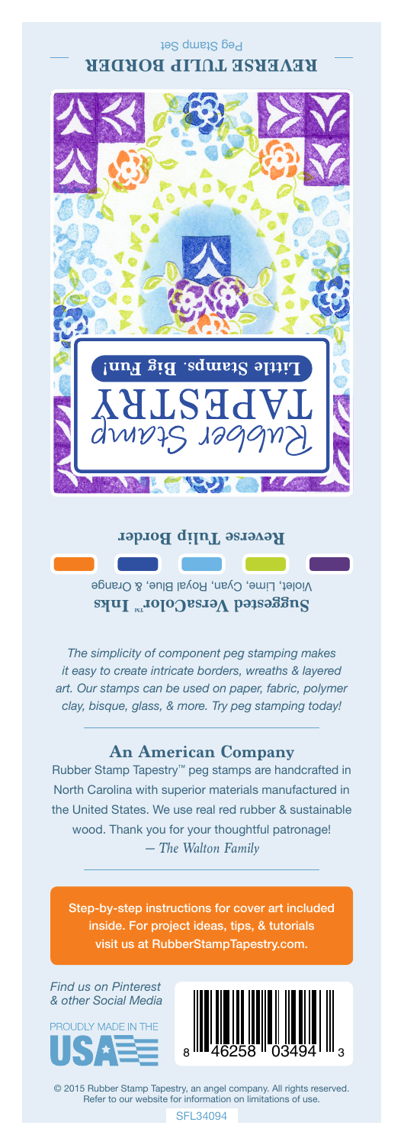### Peg Stamp Set **REVERSE TULIP BORDER**



#### **Reverse Tulip Border**

Violet, Lime, Cyan, Royal Blue, & Orange **Suggested VersaColor** Inks

*The simplicity of component peg stamping makes it easy to create intricate borders, wreaths & layered art. Our stamps can be used on paper, fabric, polymer clay, bisque, glass, & more. Try peg stamping today!*

## **An American Company**

*— The Walton Family* Rubber Stamp Tapestry™ peg stamps are handcrafted in North Carolina with superior materials manufactured in the United States. We use real red rubber & sustainable wood. Thank you for your thoughtful patronage!

Step-by-step instructions for cover art included inside. For project ideas, tips, & tutorials visit us at RubberStampTapestry.com.

*Find us on Pinterest & other Social Media*





© 2015 Rubber Stamp Tapestry, an angel company. All rights reserved. Refer to our website for information on limitations of use.